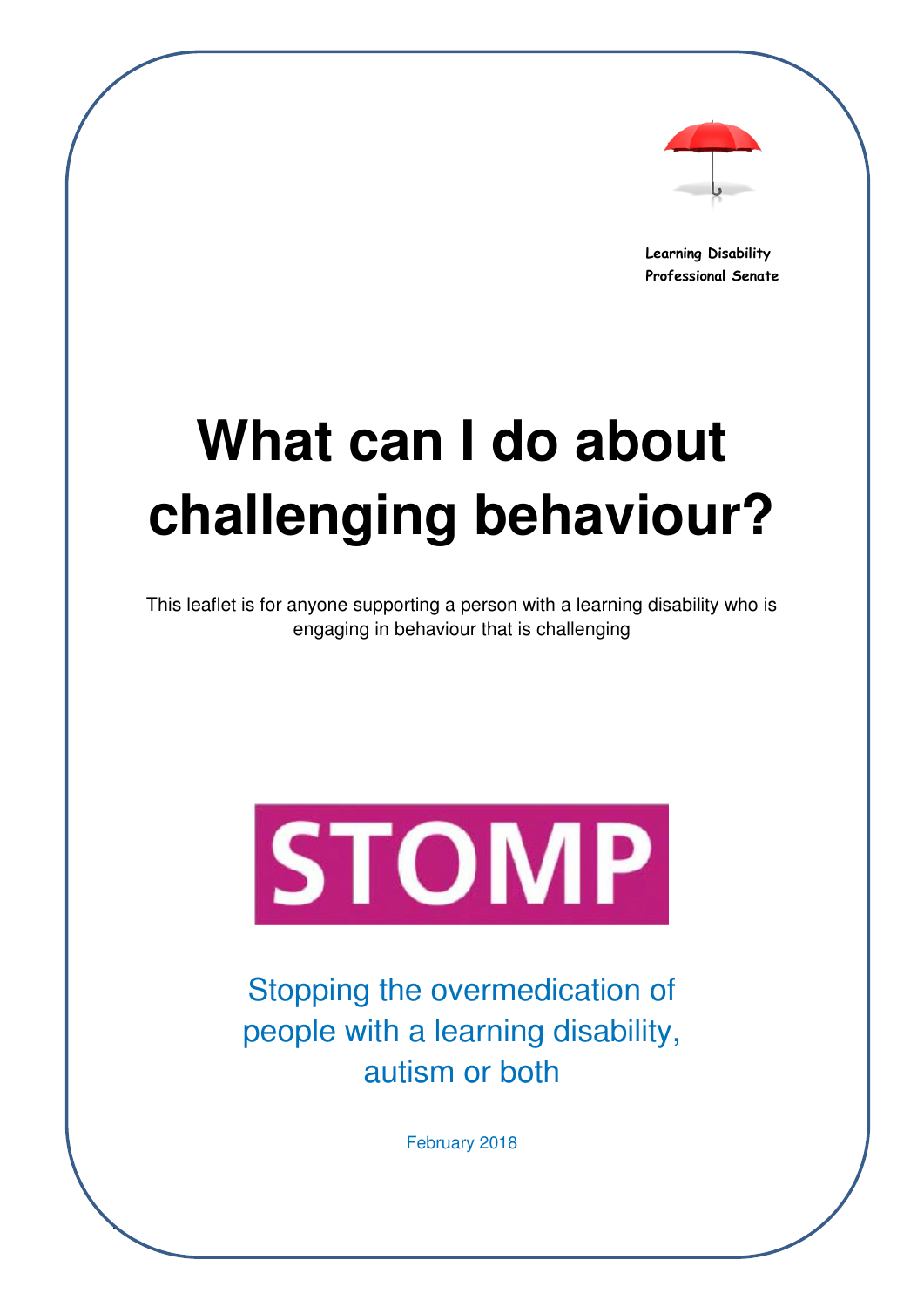

**Learning Disability Professional Senate** 

# **What can I do about challenging behaviour?**

This leaflet is for anyone supporting a person with a learning disability who is engaging in behaviour that is challenging



Stopping the overmedication of people with a learning disability, autism or both

February 2018

 $\mathbf{r}$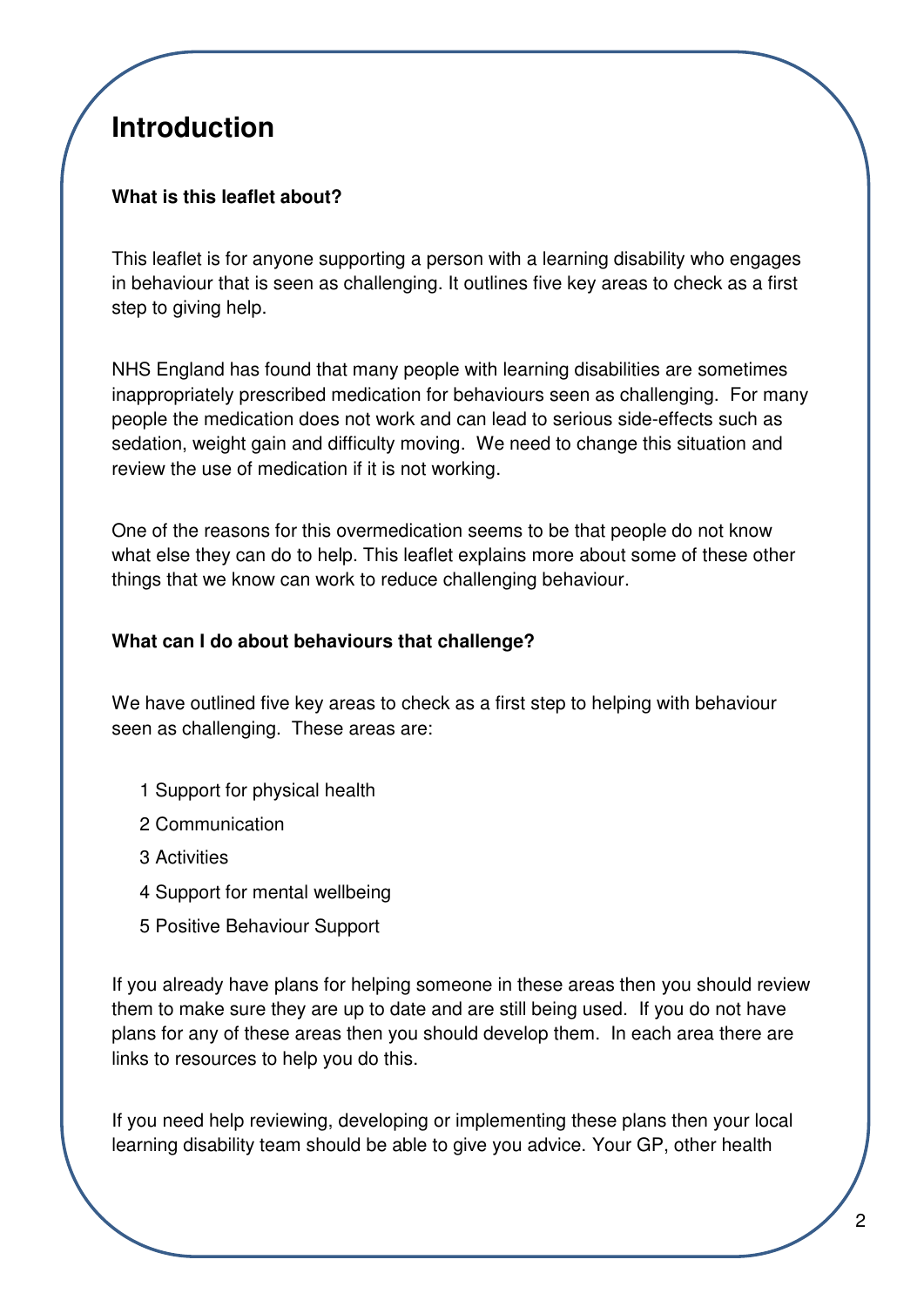## **Introduction**

### **What is this leaflet about?**

This leaflet is for anyone supporting a person with a learning disability who engages in behaviour that is seen as challenging. It outlines five key areas to check as a first step to giving help.

NHS England has found that many people with learning disabilities are sometimes inappropriately prescribed medication for behaviours seen as challenging. For many people the medication does not work and can lead to serious side-effects such as sedation, weight gain and difficulty moving. We need to change this situation and review the use of medication if it is not working.

One of the reasons for this overmedication seems to be that people do not know what else they can do to help. This leaflet explains more about some of these other things that we know can work to reduce challenging behaviour.

#### **What can I do about behaviours that challenge?**

We have outlined five key areas to check as a first step to helping with behaviour seen as challenging. These areas are:

- 1 Support for physical health
- 2 Communication
- 3 Activities
- 4 Support for mental wellbeing
- 5 Positive Behaviour Support

If you already have plans for helping someone in these areas then you should review them to make sure they are up to date and are still being used. If you do not have plans for any of these areas then you should develop them. In each area there are links to resources to help you do this.

If you need help reviewing, developing or implementing these plans then your local learning disability team should be able to give you advice. Your GP, other health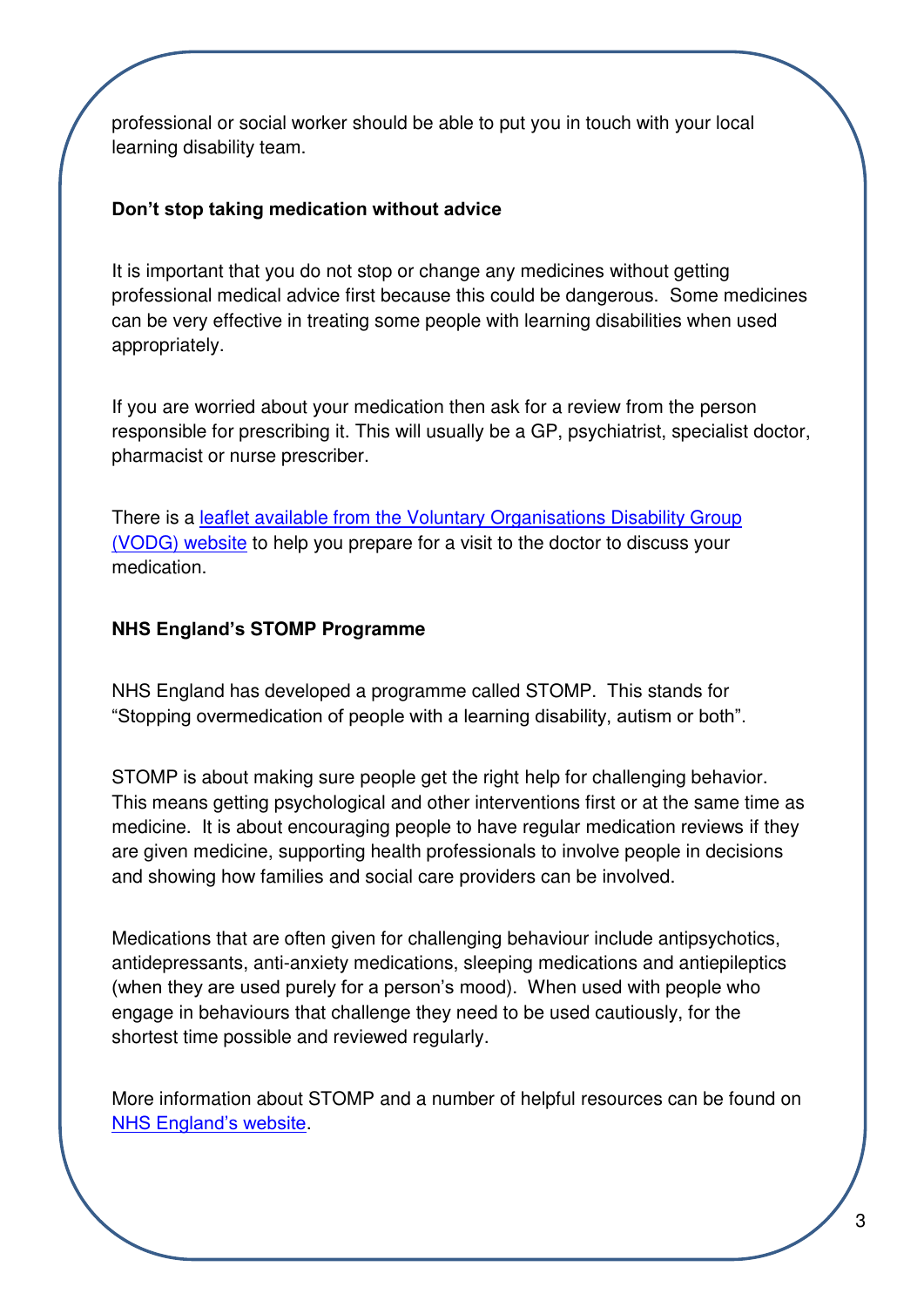professional or social worker should be able to put you in touch with your local learning disability team.

#### **Don't stop taking medication without advice**

It is important that you do not stop or change any medicines without getting professional medical advice first because this could be dangerous. Some medicines can be very effective in treating some people with learning disabilities when used appropriately.

If you are worried about your medication then ask for a review from the person responsible for prescribing it. This will usually be a GP, psychiatrist, specialist doctor, pharmacist or nurse prescriber.

There is a [leaflet available from the Voluntary Organisations Disability Group](https://www.vodg.org.uk/wp-content/uploads/2017-VODG-Preparing-to-visit-a-doctor-to-talk-about-psychotropic-medication.pdf)  [\(VODG\) website](https://www.vodg.org.uk/wp-content/uploads/2017-VODG-Preparing-to-visit-a-doctor-to-talk-about-psychotropic-medication.pdf) to help you prepare for a visit to the doctor to discuss your medication.

#### **NHS England's STOMP Programme**

NHS England has developed a programme called STOMP. This stands for "Stopping overmedication of people with a learning disability, autism or both".

STOMP is about making sure people get the right help for challenging behavior. This means getting psychological and other interventions first or at the same time as medicine. It is about encouraging people to have regular medication reviews if they are given medicine, supporting health professionals to involve people in decisions and showing how families and social care providers can be involved.

Medications that are often given for challenging behaviour include antipsychotics, antidepressants, anti-anxiety medications, sleeping medications and antiepileptics (when they are used purely for a person's mood). When used with people who engage in behaviours that challenge they need to be used cautiously, for the shortest time possible and reviewed regularly.

More information about STOMP and a number of helpful resources can be found on [NHS England's website](https://www.england.nhs.uk/learning-disabilities/stomp/).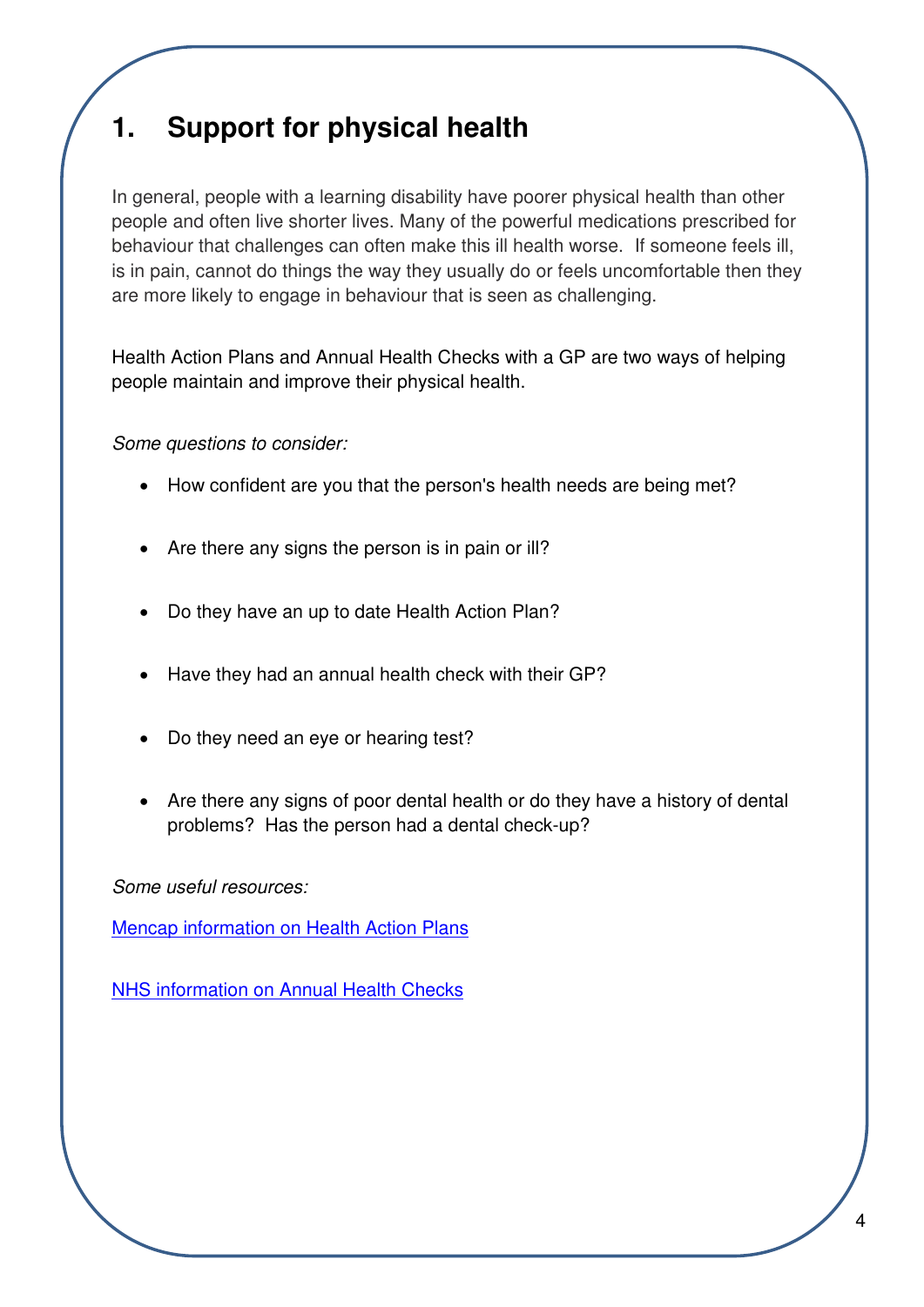## **1. Support for physical health**

In general, people with a learning disability have poorer physical health than other people and often live shorter lives. Many of the powerful medications prescribed for behaviour that challenges can often make this ill health worse. If someone feels ill, is in pain, cannot do things the way they usually do or feels uncomfortable then they are more likely to engage in behaviour that is seen as challenging.

Health Action Plans and Annual Health Checks with a GP are two ways of helping people maintain and improve their physical health.

*Some questions to consider:* 

- How confident are you that the person's health needs are being met?
- Are there any signs the person is in pain or ill?
- Do they have an up to date Health Action Plan?
- Have they had an annual health check with their GP?
- Do they need an eye or hearing test?
- Are there any signs of poor dental health or do they have a history of dental problems? Has the person had a dental check-up?

*Some useful resources:* 

[Mencap information on Health Action Plans](https://www.mencap.org.uk/sites/default/files/2016-06/What%20is%20a%20health%20action%20plan%3F.pdf)

[NHS information on Annual Health Checks](http://www.nhs.uk/Livewell/Childrenwithalearningdisability/Pages/AnnualHealthChecks.aspx)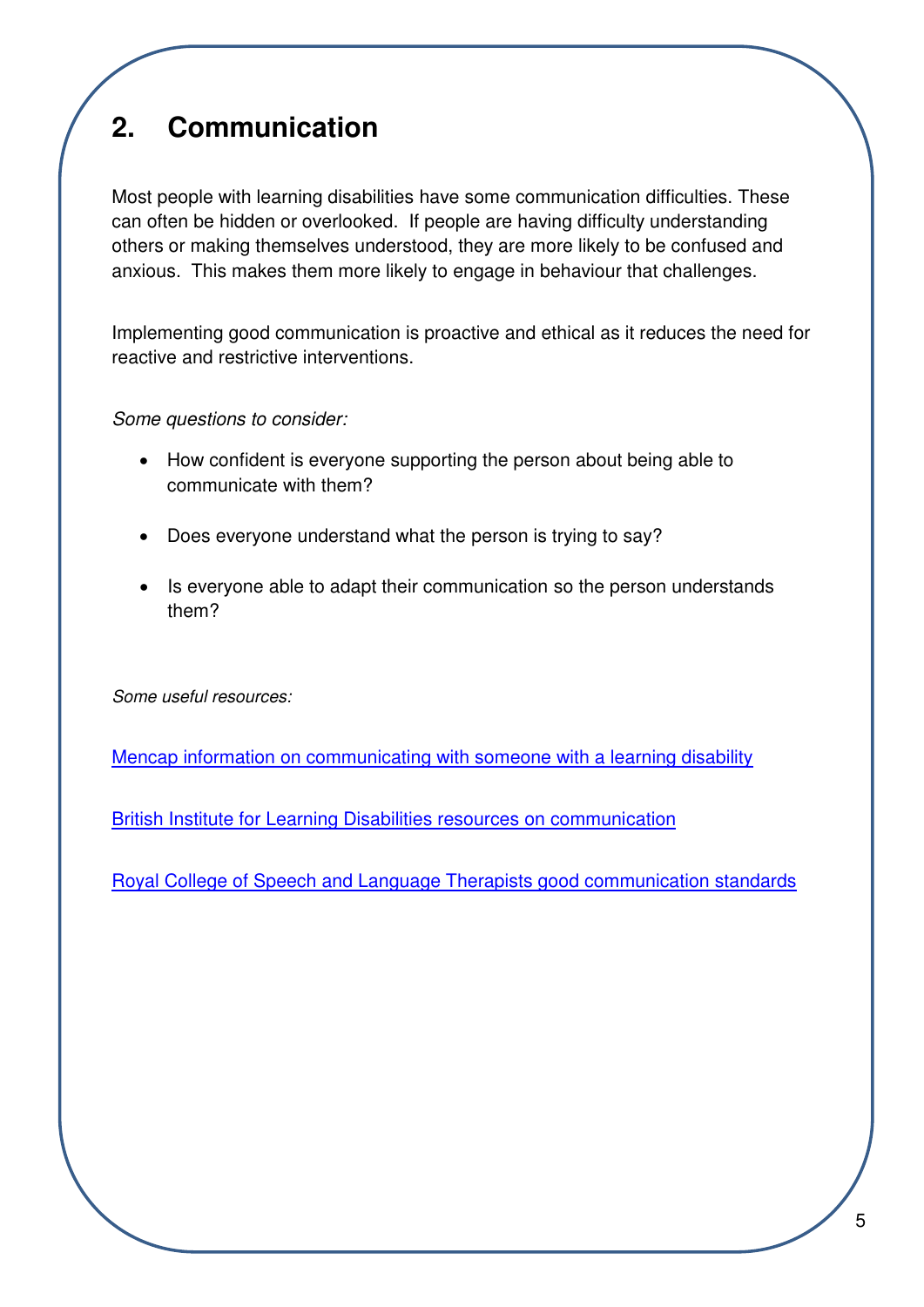# **2. Communication**

Most people with learning disabilities have some communication difficulties. These can often be hidden or overlooked. If people are having difficulty understanding others or making themselves understood, they are more likely to be confused and anxious. This makes them more likely to engage in behaviour that challenges.

Implementing good communication is proactive and ethical as it reduces the need for reactive and restrictive interventions.

*Some questions to consider:* 

- How confident is everyone supporting the person about being able to communicate with them?
- Does everyone understand what the person is trying to say?
- Is everyone able to adapt their communication so the person understands them?

*Some useful resources:* 

[Mencap information on communicating with someone with a learning disability](https://www.mencap.org.uk/sites/default/files/2016-12/Communicating%20with%20people_updated%20%281%29.pdf)

[British Institute for Learning Disabilities resources on communication](http://www.bild.org.uk/our-services/books/communication-is-a-human-right/communication-is-a-human-right/)

[Royal College of Speech and Language Therapists good communication standards](https://www.rcslt.org/news/docs/good_comm_standards)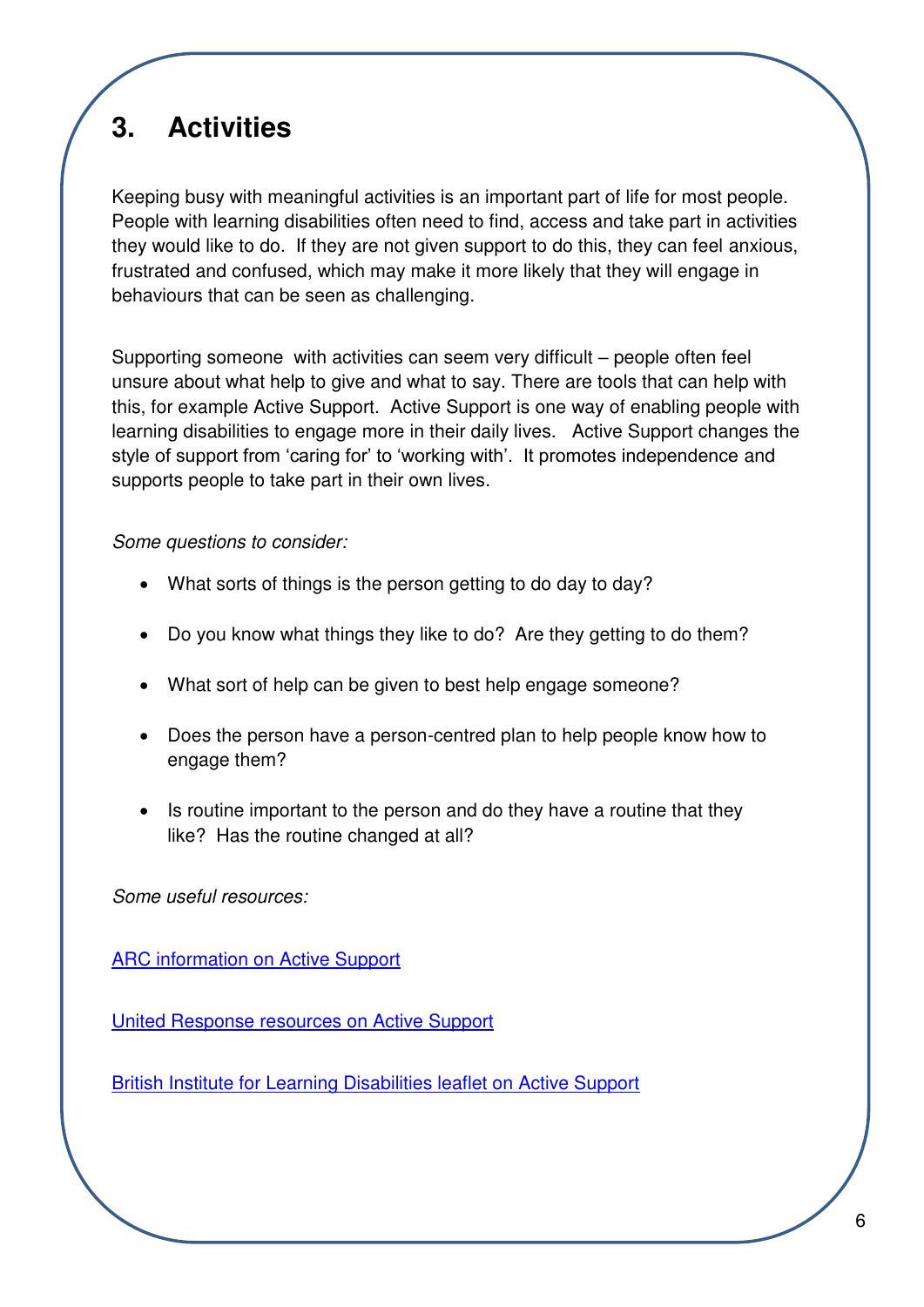## **3. Activities**

Keeping busy with meaningful activities is an important part of life for most people. People with learning disabilities often need to find, access and take part in activities they would like to do. If they are not given support to do this, they can feel anxious, frustrated and confused, which may make it more likely that they will engage in behaviours that can be seen as challenging.

Supporting someone with activities can seem very difficult – people often feel unsure about what help to give and what to say. There are tools that can help with this, for example Active Support. Active Support is one way of enabling people with learning disabilities to engage more in their daily lives. Active Support changes the style of support from 'caring for' to 'working with'. It promotes independence and supports people to take part in their own lives.

*Some questions to consider:* 

- What sorts of things is the person getting to do day to day?
- Do you know what things they like to do? Are they getting to do them?
- What sort of help can be given to best help engage someone?
- Does the person have a person-centred plan to help people know how to engage them?
- Is routine important to the person and do they have a routine that they like? Has the routine changed at all?

*Some useful resources:* 

[ARC information on Active Support](http://arcuk.org.uk/publications/files/2011/11/Active-Support-Handbook.pdf)

[United Response resources on Active Support](https://www.unitedresponse.org.uk/Handlers/Download.ashx?IDMF=9bb3bcc6-1352-4bd2-b0ed-10f8df02bd0c)

[British Institute for Learning Disabilities leaflet on Active Support](http://www.bild.org.uk/EasySiteWeb/GatewayLink.aspx?alId=7469)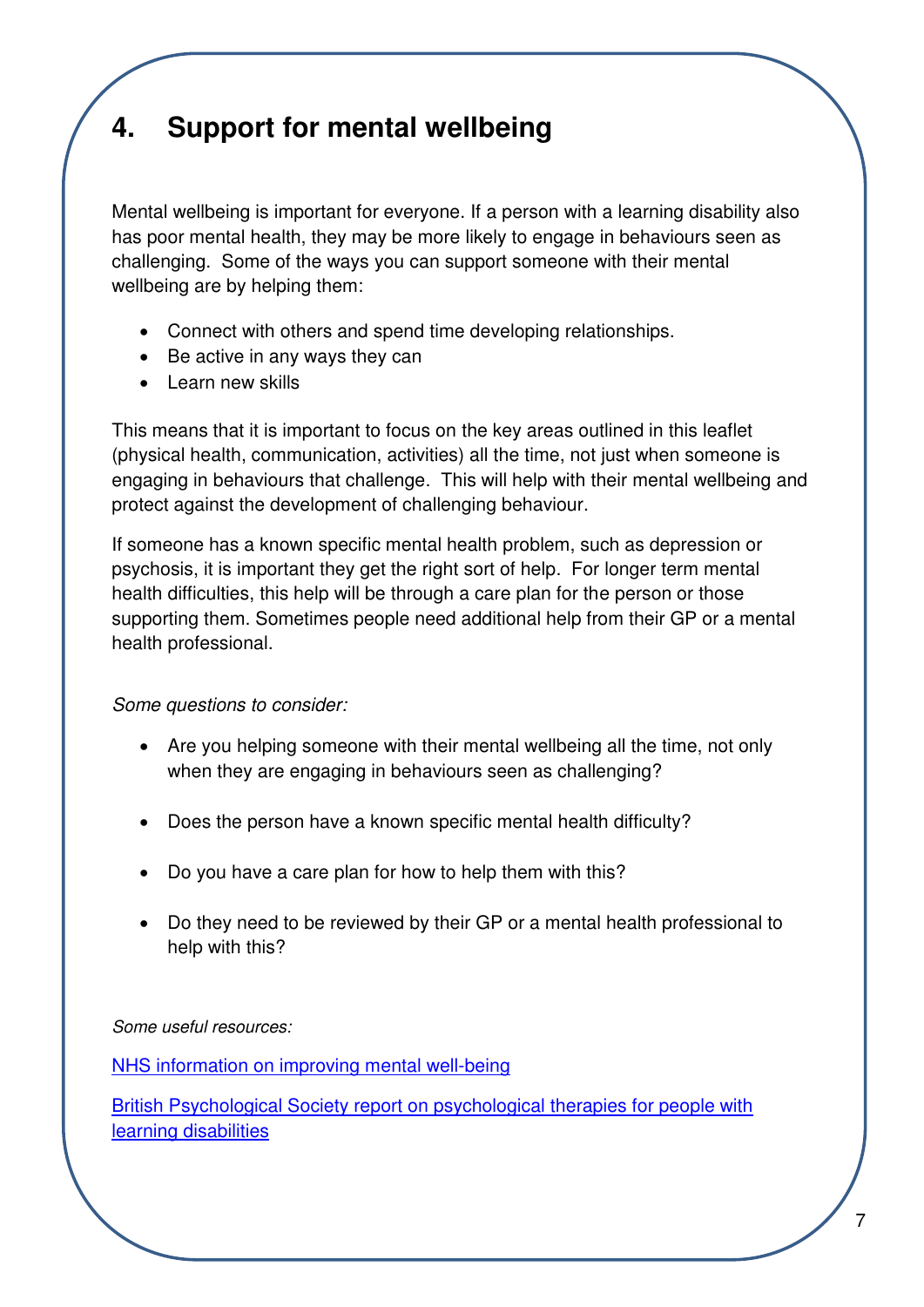## **4. Support for mental wellbeing**

Mental wellbeing is important for everyone. If a person with a learning disability also has poor mental health, they may be more likely to engage in behaviours seen as challenging. Some of the ways you can support someone with their mental wellbeing are by helping them:

- Connect with others and spend time developing relationships.
- Be active in any ways they can
- Learn new skills

This means that it is important to focus on the key areas outlined in this leaflet (physical health, communication, activities) all the time, not just when someone is engaging in behaviours that challenge. This will help with their mental wellbeing and protect against the development of challenging behaviour.

If someone has a known specific mental health problem, such as depression or psychosis, it is important they get the right sort of help. For longer term mental health difficulties, this help will be through a care plan for the person or those supporting them. Sometimes people need additional help from their GP or a mental health professional.

*Some questions to consider:* 

- Are you helping someone with their mental wellbeing all the time, not only when they are engaging in behaviours seen as challenging?
- Does the person have a known specific mental health difficulty?
- Do you have a care plan for how to help them with this?
- Do they need to be reviewed by their GP or a mental health professional to help with this?

*Some useful resources:*

[NHS information on improving mental well-being](http://www.nhs.uk/Conditions/stress-anxiety-depression/Pages/improve-mental-wellbeing.aspx)

[British Psychological Society report on psychological therapies for people with](http://www.bps.org.uk/system/files/Public%20files/id_therapies.pdf)  [learning disabilities](http://www.bps.org.uk/system/files/Public%20files/id_therapies.pdf)